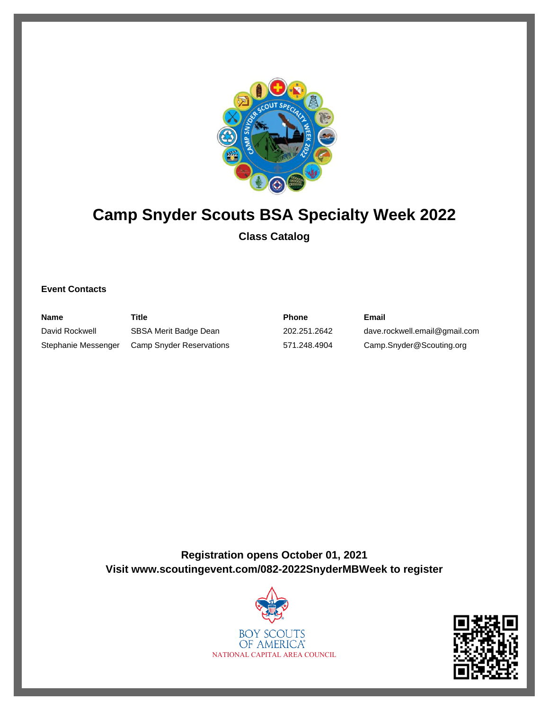

# **Camp Snyder Scouts BSA Specialty Week 2022 Class Catalog**

### **Event Contacts**

| <b>Name</b>         | Title                    | Phone        | Email                         |
|---------------------|--------------------------|--------------|-------------------------------|
| David Rockwell      | SBSA Merit Badge Dean    | 202.251.2642 | dave.rockwell.email@gmail.com |
| Stephanie Messenger | Camp Snyder Reservations | 571.248.4904 | Camp.Snyder@Scouting.org      |

**Registration opens October 01, 2021 Visit www.scoutingevent.com/082-2022SnyderMBWeek to register**



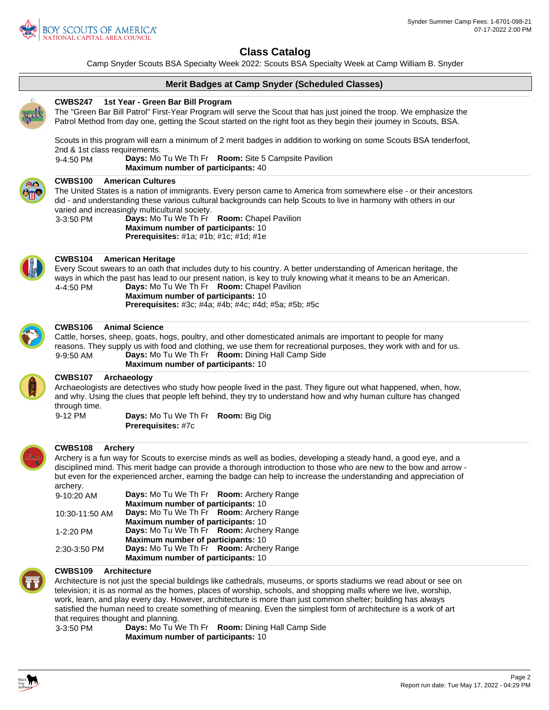

Camp Snyder Scouts BSA Specialty Week 2022: Scouts BSA Specialty Week at Camp William B. Snyder

### **Merit Badges at Camp Snyder (Scheduled Classes)**



#### **1st Year - Green Bar Bill Program CWBS247**

The "Green Bar Bill Patrol" First-Year Program will serve the Scout that has just joined the troop. We emphasize the Patrol Method from day one, getting the Scout started on the right foot as they begin their journey in Scouts, BSA.

Scouts in this program will earn a minimum of 2 merit badges in addition to working on some Scouts BSA tenderfoot, 2nd & 1st class requirements.

9-4:50 PM **Days:** Mo Tu We Th Fr **Room:** Site 5 Campsite Pavilion **Maximum number of participants:** 40



#### **American Cultures CWBS100**

The United States is a nation of immigrants. Every person came to America from somewhere else - or their ancestors did - and understanding these various cultural backgrounds can help Scouts to live in harmony with others in our varied and increasingly multicultural society.

3-3:50 PM **Days:** Mo Tu We Th Fr **Room:** Chapel Pavilion **Maximum number of participants:** 10 **Prerequisites:** #1a; #1b; #1c; #1d; #1e



### **American Heritage CWBS104**

Every Scout swears to an oath that includes duty to his country. A better understanding of American heritage, the ways in which the past has lead to our present nation, is key to truly knowing what it means to be an American. 4-4:50 PM **Days:** Mo Tu We Th Fr **Room:** Chapel Pavilion **Maximum number of participants:** 10 **Prerequisites:** #3c; #4a; #4b; #4c; #4d; #5a; #5b; #5c

#### **Animal Science CWBS106**

Cattle, horses, sheep, goats, hogs, poultry, and other domesticated animals are important to people for many reasons. They supply us with food and clothing, we use them for recreational purposes, they work with and for us. 9-9:50 AM **Days:** Mo Tu We Th Fr **Room:** Dining Hall Camp Side **Maximum number of participants:** 10



### **Archaeology CWBS107**

Archaeologists are detectives who study how people lived in the past. They figure out what happened, when, how, and why. Using the clues that people left behind, they try to understand how and why human culture has changed through time.

9-12 PM **Days:** Mo Tu We Th Fr **Room:** Big Dig **Prerequisites:** #7c



#### **Archery CWBS108**

Archery is a fun way for Scouts to exercise minds as well as bodies, developing a steady hand, a good eye, and a disciplined mind. This merit badge can provide a thorough introduction to those who are new to the bow and arrow but even for the experienced archer, earning the badge can help to increase the understanding and appreciation of archery.

| 9-10:20 AM     | Days: Mo Tu We Th Fr Room: Archery Range  |  |  |
|----------------|-------------------------------------------|--|--|
|                | Maximum number of participants: 10        |  |  |
| 10:30-11:50 AM | Days: Mo Tu We Th Fr Room: Archery Range  |  |  |
|                | <b>Maximum number of participants: 10</b> |  |  |
| 1-2:20 PM      | Days: Mo Tu We Th Fr Room: Archery Range  |  |  |
|                | <b>Maximum number of participants: 10</b> |  |  |
| 2:30-3:50 PM   | Days: Mo Tu We Th Fr Room: Archery Range  |  |  |
|                | <b>Maximum number of participants: 10</b> |  |  |

#### **Architecture CWBS109**

Architecture is not just the special buildings like cathedrals, museums, or sports stadiums we read about or see on television; it is as normal as the homes, places of worship, schools, and shopping malls where we live, worship, work, learn, and play every day. However, architecture is more than just common shelter; building has always satisfied the human need to create something of meaning. Even the simplest form of architecture is a work of art that requires thought and planning.



3-3:50 PM **Days:** Mo Tu We Th Fr **Room:** Dining Hall Camp Side **Maximum number of participants:** 10

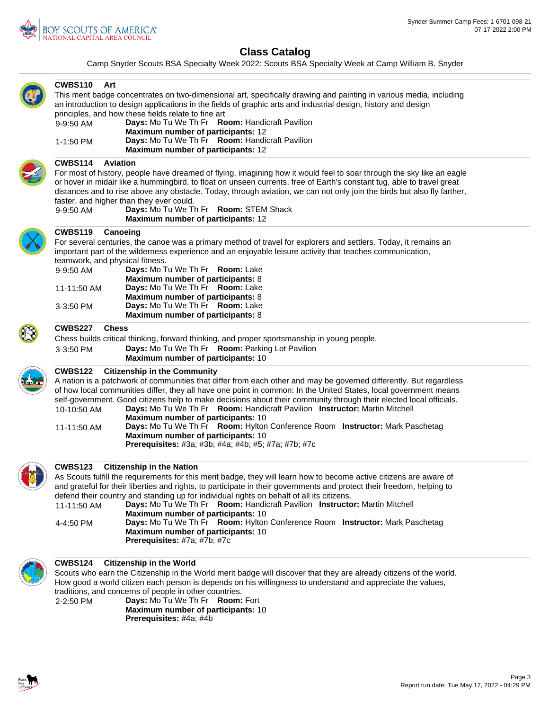

Camp Snyder Scouts BSA Specialty Week 2022: Scouts BSA Specialty Week at Camp William B. Snyder

| <b>CWBS110</b><br>Art                        | This merit badge concentrates on two-dimensional art, specifically drawing and painting in various media, including<br>an introduction to design applications in the fields of graphic arts and industrial design, history and design                                                                                                                                                                                                                                                                                                                                                                                                                                                                        |
|----------------------------------------------|--------------------------------------------------------------------------------------------------------------------------------------------------------------------------------------------------------------------------------------------------------------------------------------------------------------------------------------------------------------------------------------------------------------------------------------------------------------------------------------------------------------------------------------------------------------------------------------------------------------------------------------------------------------------------------------------------------------|
| 9-9:50 AM                                    | principles, and how these fields relate to fine art<br>Days: Mo Tu We Th Fr Room: Handicraft Pavilion<br>Maximum number of participants: 12                                                                                                                                                                                                                                                                                                                                                                                                                                                                                                                                                                  |
| 1-1:50 PM                                    | Days: Mo Tu We Th Fr Room: Handicraft Pavilion<br>Maximum number of participants: 12                                                                                                                                                                                                                                                                                                                                                                                                                                                                                                                                                                                                                         |
| <b>CWBS114</b><br><b>Aviation</b>            |                                                                                                                                                                                                                                                                                                                                                                                                                                                                                                                                                                                                                                                                                                              |
| 9-9:50 AM                                    | For most of history, people have dreamed of flying, imagining how it would feel to soar through the sky like an eagle<br>or hover in midair like a hummingbird, to float on unseen currents, free of Earth's constant tug, able to travel great<br>distances and to rise above any obstacle. Today, through aviation, we can not only join the birds but also fly farther,<br>faster, and higher than they ever could.<br>Days: Mo Tu We Th Fr Room: STEM Shack<br>Maximum number of participants: 12                                                                                                                                                                                                        |
| <b>CWBS119</b><br>Canoeing                   |                                                                                                                                                                                                                                                                                                                                                                                                                                                                                                                                                                                                                                                                                                              |
| teamwork, and physical fitness.              | For several centuries, the canoe was a primary method of travel for explorers and settlers. Today, it remains an<br>important part of the wilderness experience and an enjoyable leisure activity that teaches communication,                                                                                                                                                                                                                                                                                                                                                                                                                                                                                |
| 9-9:50 AM                                    | Days: Mo Tu We Th Fr Room: Lake<br>Maximum number of participants: 8                                                                                                                                                                                                                                                                                                                                                                                                                                                                                                                                                                                                                                         |
| 11-11:50 AM<br>3-3:50 PM                     | Days: Mo Tu We Th Fr Room: Lake<br>Maximum number of participants: 8<br>Days: Mo Tu We Th Fr Room: Lake                                                                                                                                                                                                                                                                                                                                                                                                                                                                                                                                                                                                      |
|                                              | Maximum number of participants: 8                                                                                                                                                                                                                                                                                                                                                                                                                                                                                                                                                                                                                                                                            |
| <b>CWBS227</b><br><b>Chess</b>               |                                                                                                                                                                                                                                                                                                                                                                                                                                                                                                                                                                                                                                                                                                              |
| 3-3:50 PM                                    | Chess builds critical thinking, forward thinking, and proper sportsmanship in young people.<br>Days: Mo Tu We Th Fr Room: Parking Lot Pavilion                                                                                                                                                                                                                                                                                                                                                                                                                                                                                                                                                               |
|                                              | Maximum number of participants: 10                                                                                                                                                                                                                                                                                                                                                                                                                                                                                                                                                                                                                                                                           |
| <b>CWBS122</b><br>10-10:50 AM<br>11-11:50 AM | <b>Citizenship in the Community</b><br>A nation is a patchwork of communities that differ from each other and may be governed differently. But regardless<br>of how local communities differ, they all have one point in common: In the United States, local government means<br>self-government. Good citizens help to make decisions about their community through their elected local officials.<br>Days: Mo Tu We Th Fr Room: Handicraft Pavilion Instructor: Martin Mitchell<br>Maximum number of participants: 10<br>Days: Mo Tu We Th Fr Room: Hylton Conference Room Instructor: Mark Paschetag<br><b>Maximum number of participants: 10</b><br>Prerequisites: #3a; #3b; #4a; #4b; #5; #7a; #7b; #7c |
| <b>CWBS123</b>                               | <b>Citizenship in the Nation</b>                                                                                                                                                                                                                                                                                                                                                                                                                                                                                                                                                                                                                                                                             |
|                                              | As Scouts fulfill the requirements for this merit badge, they will learn how to become active citizens are aware of<br>and grateful for their liberties and rights, to participate in their governments and protect their freedom, helping to                                                                                                                                                                                                                                                                                                                                                                                                                                                                |
|                                              | defend their country and standing up for individual rights on behalf of all its citizens.                                                                                                                                                                                                                                                                                                                                                                                                                                                                                                                                                                                                                    |
| 11-11:50 AM                                  | Days: Mo Tu We Th Fr Room: Handicraft Pavilion Instructor: Martin Mitchell<br>Maximum number of participants: 10                                                                                                                                                                                                                                                                                                                                                                                                                                                                                                                                                                                             |
| 4-4:50 PM                                    | Days: Mo Tu We Th Fr Room: Hylton Conference Room Instructor: Mark Paschetag<br>Maximum number of participants: 10<br>Prerequisites: #7a; #7b; #7c                                                                                                                                                                                                                                                                                                                                                                                                                                                                                                                                                           |
| <b>CWBS124</b>                               | <b>Citizenship in the World</b>                                                                                                                                                                                                                                                                                                                                                                                                                                                                                                                                                                                                                                                                              |
|                                              | Scouts who earn the Citizenship in the World merit badge will discover that they are already citizens of the world.                                                                                                                                                                                                                                                                                                                                                                                                                                                                                                                                                                                          |
|                                              | How good a world citizen each person is depends on his willingness to understand and appreciate the values,<br>traditions, and concerns of people in other countries.                                                                                                                                                                                                                                                                                                                                                                                                                                                                                                                                        |
| 2-2:50 PM                                    | Days: Mo Tu We Th Fr Room: Fort                                                                                                                                                                                                                                                                                                                                                                                                                                                                                                                                                                                                                                                                              |
|                                              | Maximum number of participants: 10<br>Prerequisites: #4a; #4b                                                                                                                                                                                                                                                                                                                                                                                                                                                                                                                                                                                                                                                |
|                                              |                                                                                                                                                                                                                                                                                                                                                                                                                                                                                                                                                                                                                                                                                                              |
|                                              |                                                                                                                                                                                                                                                                                                                                                                                                                                                                                                                                                                                                                                                                                                              |

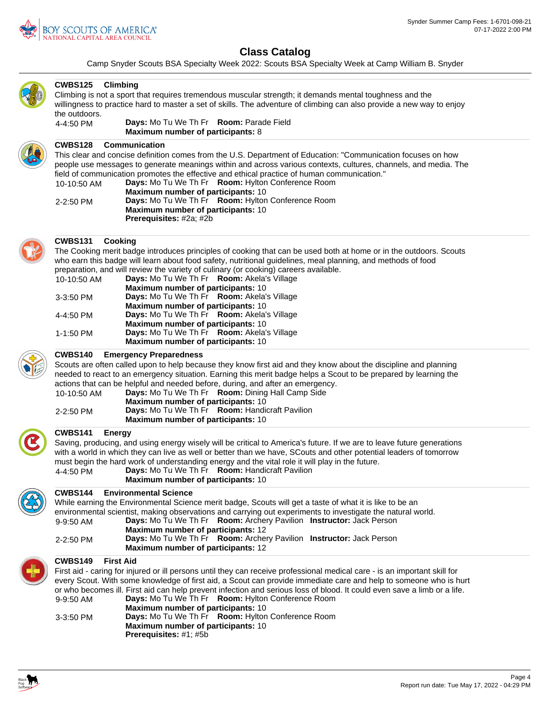

Camp Snyder Scouts BSA Specialty Week 2022: Scouts BSA Specialty Week at Camp William B. Snyder

| <b>CWBS125</b><br>Climbing<br>the outdoors.<br>4-4:50 PM     | Climbing is not a sport that requires tremendous muscular strength; it demands mental toughness and the<br>willingness to practice hard to master a set of skills. The adventure of climbing can also provide a new way to enjoy<br>Days: Mo Tu We Th Fr Room: Parade Field<br>Maximum number of participants: 8                                                                                                                                                                                                                                                                            |
|--------------------------------------------------------------|---------------------------------------------------------------------------------------------------------------------------------------------------------------------------------------------------------------------------------------------------------------------------------------------------------------------------------------------------------------------------------------------------------------------------------------------------------------------------------------------------------------------------------------------------------------------------------------------|
|                                                              |                                                                                                                                                                                                                                                                                                                                                                                                                                                                                                                                                                                             |
| <b>CWBS128</b><br>10-10:50 AM<br>2-2:50 PM                   | <b>Communication</b><br>This clear and concise definition comes from the U.S. Department of Education: "Communication focuses on how<br>people use messages to generate meanings within and across various contexts, cultures, channels, and media. The<br>field of communication promotes the effective and ethical practice of human communication."<br>Days: Mo Tu We Th Fr Room: Hylton Conference Room<br><b>Maximum number of participants: 10</b><br>Days: Mo Tu We Th Fr Room: Hylton Conference Room<br>Maximum number of participants: 10<br>Prerequisites: #2a; #2b              |
| <b>CWBS131</b><br>Cooking<br>10-10:50 AM                     | The Cooking merit badge introduces principles of cooking that can be used both at home or in the outdoors. Scouts<br>who earn this badge will learn about food safety, nutritional guidelines, meal planning, and methods of food<br>preparation, and will review the variety of culinary (or cooking) careers available.<br>Days: Mo Tu We Th Fr Room: Akela's Village                                                                                                                                                                                                                     |
| 3-3:50 PM<br>4-4:50 PM                                       | <b>Maximum number of participants: 10</b><br>Days: Mo Tu We Th Fr Room: Akela's Village<br>Maximum number of participants: 10<br>Days: Mo Tu We Th Fr Room: Akela's Village                                                                                                                                                                                                                                                                                                                                                                                                                 |
| 1-1:50 PM                                                    | Maximum number of participants: 10<br>Days: Mo Tu We Th Fr Room: Akela's Village<br><b>Maximum number of participants: 10</b>                                                                                                                                                                                                                                                                                                                                                                                                                                                               |
| <b>CWBS140</b>                                               | <b>Emergency Preparedness</b>                                                                                                                                                                                                                                                                                                                                                                                                                                                                                                                                                               |
| 10-10:50 AM<br>2-2:50 PM                                     | Scouts are often called upon to help because they know first aid and they know about the discipline and planning<br>needed to react to an emergency situation. Earning this merit badge helps a Scout to be prepared by learning the<br>actions that can be helpful and needed before, during, and after an emergency.<br>Days: Mo Tu We Th Fr Room: Dining Hall Camp Side<br>Maximum number of participants: 10<br>Days: Mo Tu We Th Fr Room: Handicraft Pavilion<br>Maximum number of participants: 10                                                                                    |
| <b>CWBS141</b><br><b>Energy</b>                              |                                                                                                                                                                                                                                                                                                                                                                                                                                                                                                                                                                                             |
| 4-4:50 PM                                                    | Saving, producing, and using energy wisely will be critical to America's future. If we are to leave future generations<br>with a world in which they can live as well or better than we have, SCouts and other potential leaders of tomorrow<br>must begin the hard work of understanding energy and the vital role it will play in the future.<br>Days: Mo Tu We Th Fr Room: Handicraft Pavilion<br>Maximum number of participants: 10                                                                                                                                                     |
| <b>CWBS144</b>                                               | <b>Environmental Science</b>                                                                                                                                                                                                                                                                                                                                                                                                                                                                                                                                                                |
|                                                              | While earning the Environmental Science merit badge, Scouts will get a taste of what it is like to be an                                                                                                                                                                                                                                                                                                                                                                                                                                                                                    |
| 9-9:50 AM                                                    | environmental scientist, making observations and carrying out experiments to investigate the natural world.<br>Days: Mo Tu We Th Fr Room: Archery Pavilion Instructor: Jack Person<br><b>Maximum number of participants: 12</b>                                                                                                                                                                                                                                                                                                                                                             |
| 2-2:50 PM                                                    | Days: Mo Tu We Th Fr Room: Archery Pavilion Instructor: Jack Person<br><b>Maximum number of participants: 12</b>                                                                                                                                                                                                                                                                                                                                                                                                                                                                            |
| <b>First Aid</b><br><b>CWBS149</b><br>9-9:50 AM<br>3-3:50 PM | First aid - caring for injured or ill persons until they can receive professional medical care - is an important skill for<br>every Scout. With some knowledge of first aid, a Scout can provide immediate care and help to someone who is hurt<br>or who becomes ill. First aid can help prevent infection and serious loss of blood. It could even save a limb or a life.<br>Days: Mo Tu We Th Fr Room: Hylton Conference Room<br>Maximum number of participants: 10<br>Days: Mo Tu We Th Fr Room: Hylton Conference Room<br>Maximum number of participants: 10<br>Prerequisites: #1; #5b |

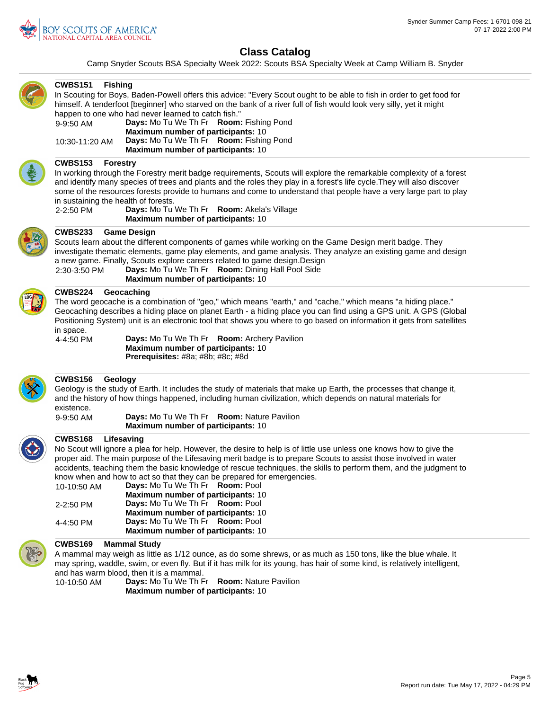

Camp Snyder Scouts BSA Specialty Week 2022: Scouts BSA Specialty Week at Camp William B. Snyder



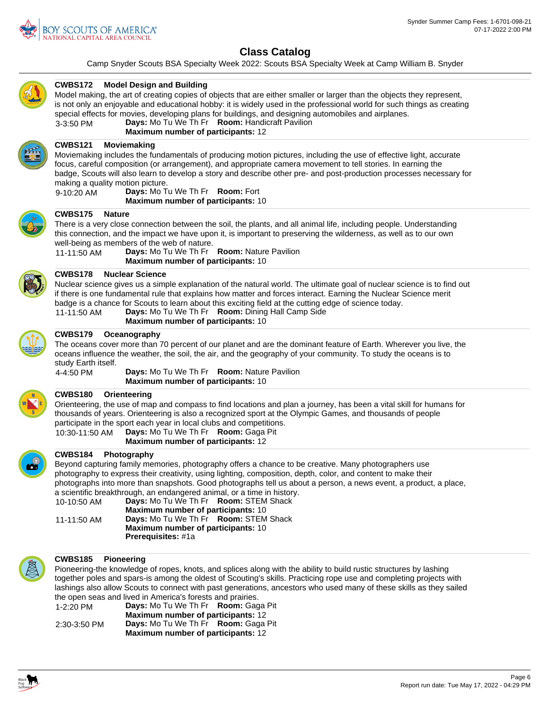

Camp Snyder Scouts BSA Specialty Week 2022: Scouts BSA Specialty Week at Camp William B. Snyder



### **Model Design and Building CWBS172**

Model making, the art of creating copies of objects that are either smaller or larger than the objects they represent, is not only an enjoyable and educational hobby: it is widely used in the professional world for such things as creating special effects for movies, developing plans for buildings, and designing automobiles and airplanes. 3-3:50 PM **Days:** Mo Tu We Th Fr **Room:** Handicraft Pavilion

**Maximum number of participants:** 12



#### **Moviemaking CWBS121**

Moviemaking includes the fundamentals of producing motion pictures, including the use of effective light, accurate focus, careful composition (or arrangement), and appropriate camera movement to tell stories. In earning the badge, Scouts will also learn to develop a story and describe other pre- and post-production processes necessary for making a quality motion picture.

9-10:20 AM **Days:** Mo Tu We Th Fr **Room:** Fort **Maximum number of participants:** 10



#### **Nature CWBS175**

There is a very close connection between the soil, the plants, and all animal life, including people. Understanding this connection, and the impact we have upon it, is important to preserving the wilderness, as well as to our own well-being as members of the web of nature.

11-11:50 AM **Days:** Mo Tu We Th Fr **Room:** Nature Pavilion **Maximum number of participants:** 10



### **Nuclear Science CWBS178**

Nuclear science gives us a simple explanation of the natural world. The ultimate goal of nuclear science is to find out if there is one fundamental rule that explains how matter and forces interact. Earning the Nuclear Science merit badge is a chance for Scouts to learn about this exciting field at the cutting edge of science today.

11-11:50 AM **Days:** Mo Tu We Th Fr **Room:** Dining Hall Camp Side **Maximum number of participants:** 10



## **Oceanography CWBS179**

The oceans cover more than 70 percent of our planet and are the dominant feature of Earth. Wherever you live, the oceans influence the weather, the soil, the air, and the geography of your community. To study the oceans is to study Earth itself.

4-4:50 PM **Days:** Mo Tu We Th Fr **Room:** Nature Pavilion **Maximum number of participants:** 10

#### **Orienteering CWBS180**

Orienteering, the use of map and compass to find locations and plan a journey, has been a vital skill for humans for thousands of years. Orienteering is also a recognized sport at the Olympic Games, and thousands of people participate in the sport each year in local clubs and competitions.

### 10:30-11:50 AM **Days:** Mo Tu We Th Fr **Room:** Gaga Pit **Maximum number of participants:** 12



### **Photography CWBS184**

Beyond capturing family memories, photography offers a chance to be creative. Many photographers use photography to express their creativity, using lighting, composition, depth, color, and content to make their photographs into more than snapshots. Good photographs tell us about a person, a news event, a product, a place, a scientific breakthrough, an endangered animal, or a time in history.

| 10-10:50 AM | Days: Mo Tu We Th Fr Room: STEM Shack     |  |
|-------------|-------------------------------------------|--|
|             | <b>Maximum number of participants: 10</b> |  |
| 11-11:50 AM | Days: Mo Tu We Th Fr Room: STEM Shack     |  |
|             | Maximum number of participants: 10        |  |
|             | <b>Prerequisites:</b> #1a                 |  |
|             |                                           |  |



### **Pioneering CWBS185**

Pioneering-the knowledge of ropes, knots, and splices along with the ability to build rustic structures by lashing together poles and spars-is among the oldest of Scouting's skills. Practicing rope use and completing projects with lashings also allow Scouts to connect with past generations, ancestors who used many of these skills as they sailed the open seas and lived in America's forests and prairies.

| 1-2:20 PM    | Days: Mo Tu We Th Fr Room: Gaga Pit       |  |
|--------------|-------------------------------------------|--|
|              | <b>Maximum number of participants: 12</b> |  |
| 2:30-3:50 PM | Days: Mo Tu We Th Fr Room: Gaga Pit       |  |
|              | <b>Maximum number of participants: 12</b> |  |

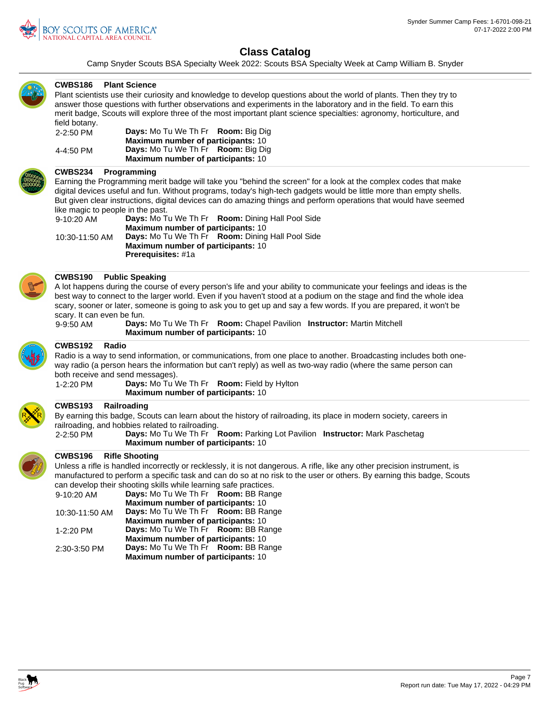

Camp Snyder Scouts BSA Specialty Week 2022: Scouts BSA Specialty Week at Camp William B. Snyder



### **Plant Science CWBS186**

Plant scientists use their curiosity and knowledge to develop questions about the world of plants. Then they try to answer those questions with further observations and experiments in the laboratory and in the field. To earn this merit badge, Scouts will explore three of the most important plant science specialties: agronomy, horticulture, and field botany.

| 2-2:50 PM | Days: Mo Tu We Th Fr Room: Big Dig               |
|-----------|--------------------------------------------------|
|           | <b>Maximum number of participants: 10</b>        |
| 4-4:50 PM | <b>Days:</b> Mo Tu We Th Fr <b>Room:</b> Big Dig |
|           | <b>Maximum number of participants: 10</b>        |

#### **Programming CWBS234**

Earning the Programming merit badge will take you "behind the screen" for a look at the complex codes that make digital devices useful and fun. Without programs, today's high-tech gadgets would be little more than empty shells. But given clear instructions, digital devices can do amazing things and perform operations that would have seemed like magic to people in the past.

| the magic to poople in the past.          |                                           |                                                                |
|-------------------------------------------|-------------------------------------------|----------------------------------------------------------------|
| 9-10:20 AM                                |                                           | Days: Mo Tu We Th Fr Room: Dining Hall Pool Side               |
|                                           | <b>Maximum number of participants: 10</b> |                                                                |
| 10:30-11:50 AM                            |                                           | <b>Days:</b> Mo Tu We Th Fr <b>Room:</b> Dining Hall Pool Side |
| <b>Maximum number of participants: 10</b> |                                           |                                                                |
|                                           | <b>Prerequisites: #1a</b>                 |                                                                |



### **Public Speaking CWBS190**

A lot happens during the course of every person's life and your ability to communicate your feelings and ideas is the best way to connect to the larger world. Even if you haven't stood at a podium on the stage and find the whole idea scary, sooner or later, someone is going to ask you to get up and say a few words. If you are prepared, it won't be scary. It can even be fun.

9-9:50 AM **Days:** Mo Tu We Th Fr **Room:** Chapel Pavilion **Instructor:** Martin Mitchell **Maximum number of participants:** 10



### **Radio CWBS192**

Radio is a way to send information, or communications, from one place to another. Broadcasting includes both oneway radio (a person hears the information but can't reply) as well as two-way radio (where the same person can both receive and send messages).

1-2:20 PM **Days:** Mo Tu We Th Fr **Room:** Field by Hylton **Maximum number of participants:** 10

### **Railroading CWBS193**

By earning this badge, Scouts can learn about the history of railroading, its place in modern society, careers in railroading, and hobbies related to railroading.

2-2:50 PM **Days:** Mo Tu We Th Fr **Room:** Parking Lot Pavilion **Instructor:** Mark Paschetag **Maximum number of participants:** 10



### **Rifle Shooting CWBS196**

Unless a rifle is handled incorrectly or recklessly, it is not dangerous. A rifle, like any other precision instrument, is manufactured to perform a specific task and can do so at no risk to the user or others. By earning this badge, Scouts can develop their shooting skills while learning safe practices.

| 9-10:20 AM     | Days: Mo Tu We Th Fr Room: BB Range       |  |
|----------------|-------------------------------------------|--|
|                | Maximum number of participants: 10        |  |
| 10:30-11:50 AM | Days: Mo Tu We Th Fr Room: BB Range       |  |
|                | Maximum number of participants: 10        |  |
| 1-2:20 PM      | Days: Mo Tu We Th Fr Room: BB Range       |  |
|                | <b>Maximum number of participants: 10</b> |  |
| 2:30-3:50 PM   | Days: Mo Tu We Th Fr Room: BB Range       |  |
|                | Maximum number of participants: 10        |  |

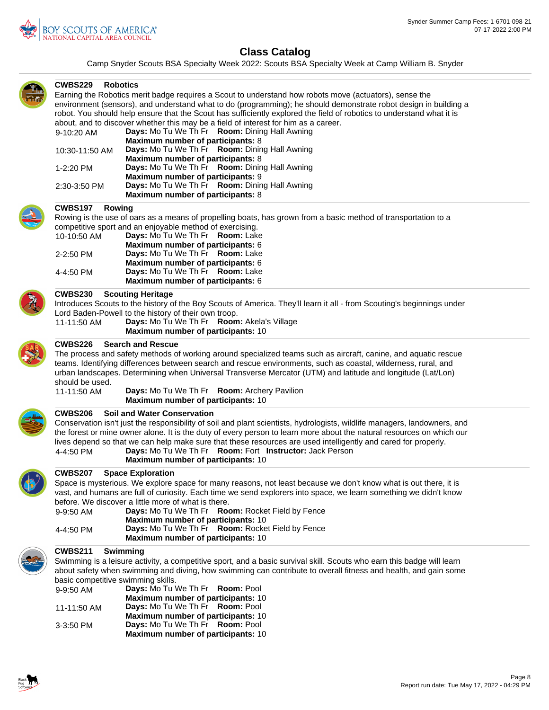

Camp Snyder Scouts BSA Specialty Week 2022: Scouts BSA Specialty Week at Camp William B. Snyder



### **Robotics CWBS229**

Earning the Robotics merit badge requires a Scout to understand how robots move (actuators), sense the environment (sensors), and understand what to do (programming); he should demonstrate robot design in building a robot. You should help ensure that the Scout has sufficiently explored the field of robotics to understand what it is about, and to discover whether this may be a field of interest for him as a career. 9-10:20 AM **Days:** Mo Tu We Th Fr **Room:** Dining Hall Awning **Maximum number of participants:** 8 10:30-11:50 AM **Days:** Mo Tu We Th Fr **Room:** Dining Hall Awning **Maximum number of participants:** 8

|              | <b>Maximum number of participants: 8</b> |                                                             |  |
|--------------|------------------------------------------|-------------------------------------------------------------|--|
| 1-2:20 PM    |                                          | <b>Days:</b> Mo Tu We Th Fr <b>Room:</b> Dining Hall Awning |  |
|              | <b>Maximum number of participants: 9</b> |                                                             |  |
| 2:30-3:50 PM |                                          | <b>Days:</b> Mo Tu We Th Fr <b>Room:</b> Dining Hall Awning |  |
|              | Maximum number of participants: 8        |                                                             |  |



### **Rowing CWBS197**

Rowing is the use of oars as a means of propelling boats, has grown from a basic method of transportation to a competitive sport and an enjoyable method of exercising.

| 10-10:50 AM | Days: Mo Tu We Th Fr Room: Lake   |  |
|-------------|-----------------------------------|--|
|             | Maximum number of participants: 6 |  |
| 2-2:50 PM   | Days: Mo Tu We Th Fr Room: Lake   |  |
|             | Maximum number of participants: 6 |  |
| 4-4:50 PM   | Days: Mo Tu We Th Fr Room: Lake   |  |
|             | Maximum number of participants: 6 |  |

### **Scouting Heritage CWBS230**

Introduces Scouts to the history of the Boy Scouts of America. They'll learn it all - from Scouting's beginnings under Lord Baden-Powell to the history of their own troop.

11-11:50 AM **Days:** Mo Tu We Th Fr **Room:** Akela's Village **Maximum number of participants:** 10



### **Search and Rescue CWBS226**

The process and safety methods of working around specialized teams such as aircraft, canine, and aquatic rescue teams. Identifying differences between search and rescue environments, such as coastal, wilderness, rural, and urban landscapes. Determining when Universal Transverse Mercator (UTM) and latitude and longitude (Lat/Lon) should be used.

11-11:50 AM **Days:** Mo Tu We Th Fr **Room:** Archery Pavilion **Maximum number of participants:** 10



### **CWBS206 Soil and Water Conservation**

Conservation isn't just the responsibility of soil and plant scientists, hydrologists, wildlife managers, landowners, and the forest or mine owner alone. It is the duty of every person to learn more about the natural resources on which our lives depend so that we can help make sure that these resources are used intelligently and cared for properly. 4-4:50 PM **Days:** Mo Tu We Th Fr **Room:** Fort **Instructor:** Jack Person



#### **Space Exploration CWBS207**

Space is mysterious. We explore space for many reasons, not least because we don't know what is out there, it is vast, and humans are full of curiosity. Each time we send explorers into space, we learn something we didn't know before. We discover a little more of what is there.

| 9-9:50 AM |                                           | Days: Mo Tu We Th Fr Room: Rocket Field by Fence |
|-----------|-------------------------------------------|--------------------------------------------------|
|           | <b>Maximum number of participants: 10</b> |                                                  |
| 4-4:50 PM |                                           | Days: Mo Tu We Th Fr Room: Rocket Field by Fence |
|           | <b>Maximum number of participants: 10</b> |                                                  |

**Maximum number of participants:** 10

#### **Swimming CWBS211**

Swimming is a leisure activity, a competitive sport, and a basic survival skill. Scouts who earn this badge will learn about safety when swimming and diving, how swimming can contribute to overall fitness and health, and gain some basic competitive swimming skills. 9-9:50 AM **Days:** Mo Tu We Th Fr **Room:** Pool

| 9-9.50 ANI  | <b>Days.</b> MO TO WE THEE <b>NOOTH.</b> FOOT |
|-------------|-----------------------------------------------|
|             | Maximum number of participants: 10            |
| 11-11:50 AM | Days: Mo Tu We Th Fr Room: Pool               |
|             | <b>Maximum number of participants: 10</b>     |
| $3-3:50$ PM | <b>Days:</b> Mo Tu We Th Fr <b>Room:</b> Pool |
|             | <b>Maximum number of participants: 10</b>     |